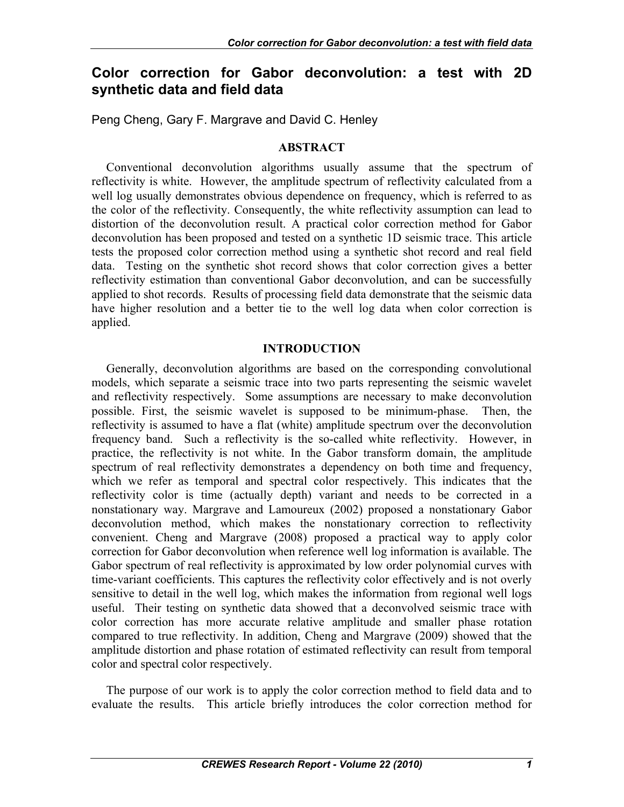# **Color correction for Gabor deconvolution: a test with 2D synthetic data and field data**

Peng Cheng, Gary F. Margrave and David C. Henley

## **ABSTRACT**

Conventional deconvolution algorithms usually assume that the spectrum of reflectivity is white. However, the amplitude spectrum of reflectivity calculated from a well log usually demonstrates obvious dependence on frequency, which is referred to as the color of the reflectivity. Consequently, the white reflectivity assumption can lead to distortion of the deconvolution result. A practical color correction method for Gabor deconvolution has been proposed and tested on a synthetic 1D seismic trace. This article tests the proposed color correction method using a synthetic shot record and real field data. Testing on the synthetic shot record shows that color correction gives a better reflectivity estimation than conventional Gabor deconvolution, and can be successfully applied to shot records. Results of processing field data demonstrate that the seismic data have higher resolution and a better tie to the well log data when color correction is applied.

## **INTRODUCTION**

Generally, deconvolution algorithms are based on the corresponding convolutional models, which separate a seismic trace into two parts representing the seismic wavelet and reflectivity respectively. Some assumptions are necessary to make deconvolution possible. First, the seismic wavelet is supposed to be minimum-phase. Then, the reflectivity is assumed to have a flat (white) amplitude spectrum over the deconvolution frequency band. Such a reflectivity is the so-called white reflectivity. However, in practice, the reflectivity is not white. In the Gabor transform domain, the amplitude spectrum of real reflectivity demonstrates a dependency on both time and frequency, which we refer as temporal and spectral color respectively. This indicates that the reflectivity color is time (actually depth) variant and needs to be corrected in a nonstationary way. Margrave and Lamoureux (2002) proposed a nonstationary Gabor deconvolution method, which makes the nonstationary correction to reflectivity convenient. Cheng and Margrave (2008) proposed a practical way to apply color correction for Gabor deconvolution when reference well log information is available. The Gabor spectrum of real reflectivity is approximated by low order polynomial curves with time-variant coefficients. This captures the reflectivity color effectively and is not overly sensitive to detail in the well log, which makes the information from regional well logs useful. Their testing on synthetic data showed that a deconvolved seismic trace with color correction has more accurate relative amplitude and smaller phase rotation compared to true reflectivity. In addition, Cheng and Margrave (2009) showed that the amplitude distortion and phase rotation of estimated reflectivity can result from temporal color and spectral color respectively.

The purpose of our work is to apply the color correction method to field data and to evaluate the results. This article briefly introduces the color correction method for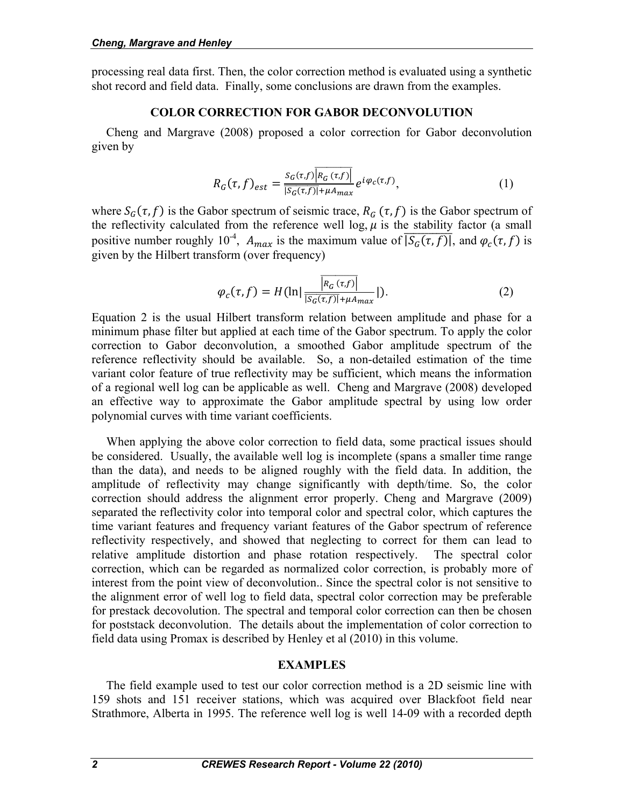processing real data first. Then, the color correction method is evaluated using a synthetic shot record and field data. Finally, some conclusions are drawn from the examples.

#### **COLOR CORRECTION FOR GABOR DECONVOLUTION**

Cheng and Margrave (2008) proposed a color correction for Gabor deconvolution given by

$$
R_G(\tau, f)_{est} = \frac{S_G(\tau, f) \overline{\left|R_G(\tau, f)\right|}}{\overline{\left|S_G(\tau, f)\right|} + \mu A_{max}} e^{i \varphi_c(\tau, f)}, \tag{1}
$$

where  $S_G(\tau, f)$  is the Gabor spectrum of seismic trace,  $R_G(\tau, f)$  is the Gabor spectrum of the reflectivity calculated from the reference well log,  $\mu$  is the stability factor (a small positive number roughly 10<sup>-4</sup>,  $A_{max}$  is the maximum value of  $\overline{S_G(\tau,f)}$ , and  $\varphi_c(\tau,f)$  is given by the Hilbert transform (over frequency)

$$
\varphi_c(\tau, f) = H(\ln|\frac{\overline{|R_G(\tau, f)|}}{|S_G(\tau, f)| + \mu A_{max}}|). \tag{2}
$$

Equation 2 is the usual Hilbert transform relation between amplitude and phase for a minimum phase filter but applied at each time of the Gabor spectrum. To apply the color correction to Gabor deconvolution, a smoothed Gabor amplitude spectrum of the reference reflectivity should be available. So, a non-detailed estimation of the time variant color feature of true reflectivity may be sufficient, which means the information of a regional well log can be applicable as well. Cheng and Margrave (2008) developed an effective way to approximate the Gabor amplitude spectral by using low order polynomial curves with time variant coefficients.

When applying the above color correction to field data, some practical issues should be considered. Usually, the available well log is incomplete (spans a smaller time range than the data), and needs to be aligned roughly with the field data. In addition, the amplitude of reflectivity may change significantly with depth/time. So, the color correction should address the alignment error properly. Cheng and Margrave (2009) separated the reflectivity color into temporal color and spectral color, which captures the time variant features and frequency variant features of the Gabor spectrum of reference reflectivity respectively, and showed that neglecting to correct for them can lead to relative amplitude distortion and phase rotation respectively. The spectral color correction, which can be regarded as normalized color correction, is probably more of interest from the point view of deconvolution.. Since the spectral color is not sensitive to the alignment error of well log to field data, spectral color correction may be preferable for prestack decovolution. The spectral and temporal color correction can then be chosen for poststack deconvolution. The details about the implementation of color correction to field data using Promax is described by Henley et al (2010) in this volume.

## **EXAMPLES**

The field example used to test our color correction method is a 2D seismic line with 159 shots and 151 receiver stations, which was acquired over Blackfoot field near Strathmore, Alberta in 1995. The reference well log is well 14-09 with a recorded depth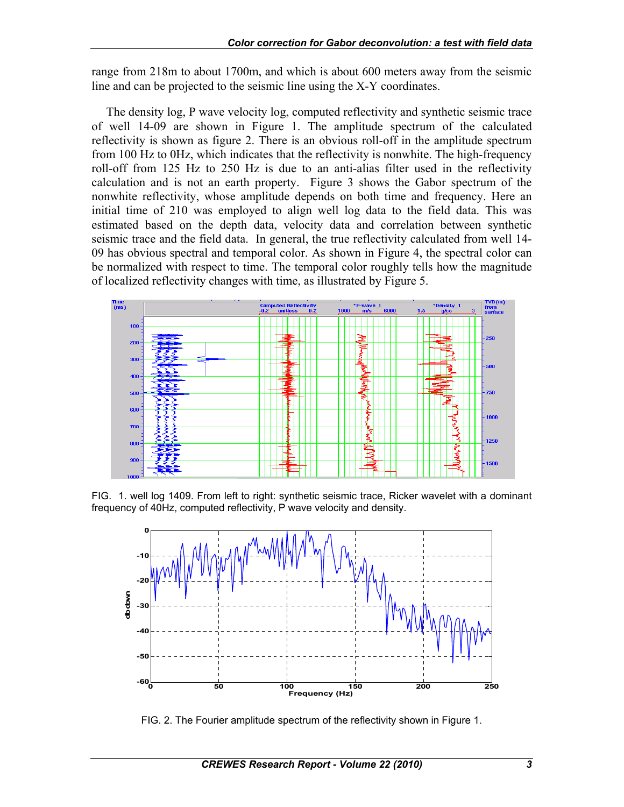range from 218m to about 1700m, and which is about 600 meters away from the seismic line and can be projected to the seismic line using the X-Y coordinates.

The density log, P wave velocity log, computed reflectivity and synthetic seismic trace of well 14-09 are shown in Figure 1. The amplitude spectrum of the calculated reflectivity is shown as figure 2. There is an obvious roll-off in the amplitude spectrum from 100 Hz to 0Hz, which indicates that the reflectivity is nonwhite. The high-frequency roll-off from 125 Hz to 250 Hz is due to an anti-alias filter used in the reflectivity calculation and is not an earth property. Figure 3 shows the Gabor spectrum of the nonwhite reflectivity, whose amplitude depends on both time and frequency. Here an initial time of 210 was employed to align well log data to the field data. This was estimated based on the depth data, velocity data and correlation between synthetic seismic trace and the field data. In general, the true reflectivity calculated from well 14- 09 has obvious spectral and temporal color. As shown in Figure 4, the spectral color can be normalized with respect to time. The temporal color roughly tells how the magnitude of localized reflectivity changes with time, as illustrated by Figure 5.



FIG. 1. well log 1409. From left to right: synthetic seismic trace, Ricker wavelet with a dominant frequency of 40Hz, computed reflectivity, P wave velocity and density.



FIG. 2. The Fourier amplitude spectrum of the reflectivity shown in Figure 1.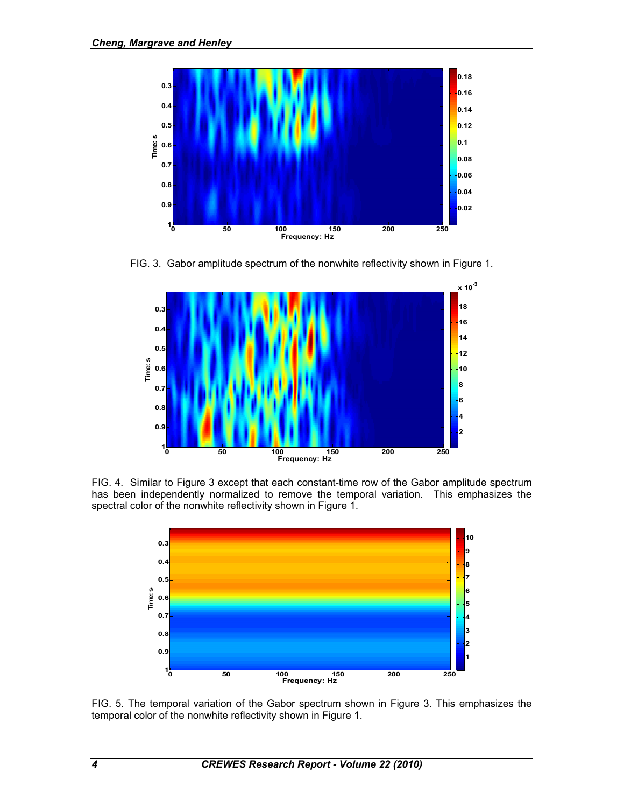

FIG. 3. Gabor amplitude spectrum of the nonwhite reflectivity shown in Figure 1.



FIG. 4. Similar to Figure 3 except that each constant-time row of the Gabor amplitude spectrum has been independently normalized to remove the temporal variation. This emphasizes the spectral color of the nonwhite reflectivity shown in Figure 1.



FIG. 5. The temporal variation of the Gabor spectrum shown in Figure 3. This emphasizes the temporal color of the nonwhite reflectivity shown in Figure 1.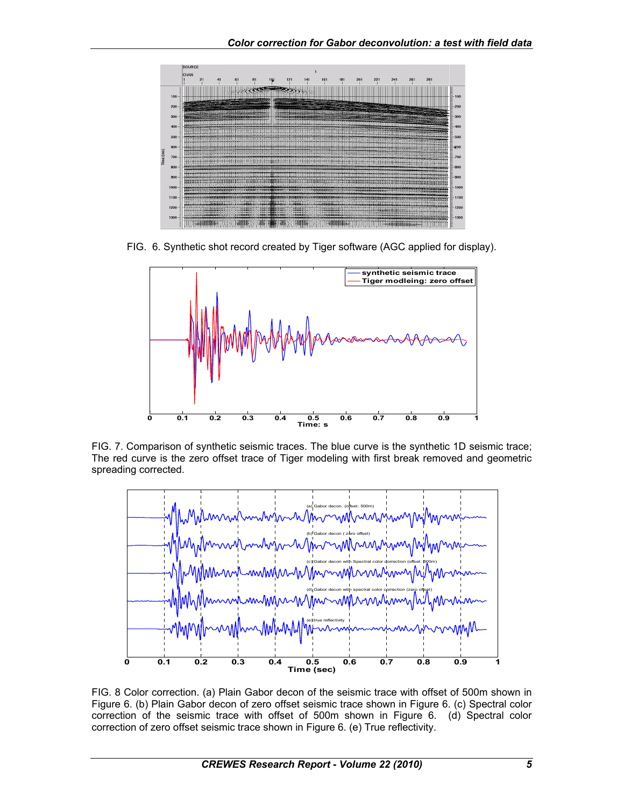

FIG. 6. Synthetic shot record created by Tiger software (AGC applied for display).



FIG. 7. Comparison of synthetic seismic traces. The blue curve is the synthetic 1D seismic trace; The red curve is the zero offset trace of Tiger modeling with first break removed and geometric spreading corrected.



FIG. 8 Color correction. (a) Plain Gabor decon of the seismic trace with offset of 500m shown in Figure 6. (b) Plain Gabor decon of zero offset seismic trace shown in Figure 6. (c) Spectral color correction of the seismic trace with offset of 500m shown in Figure 6. (d) Spectral color correction of zero offset seismic trace shown in Figure 6. (e) True reflectivity.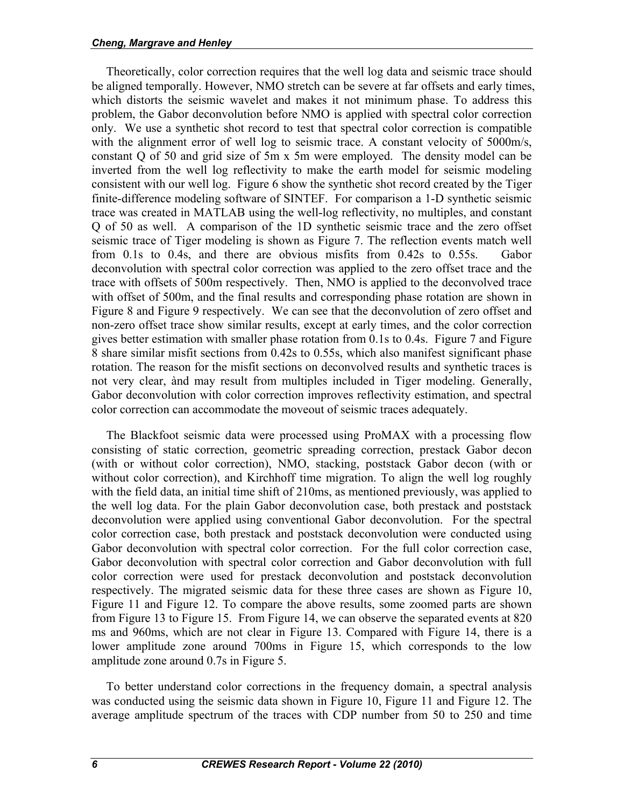Theoretically, color correction requires that the well log data and seismic trace should be aligned temporally. However, NMO stretch can be severe at far offsets and early times, which distorts the seismic wavelet and makes it not minimum phase. To address this problem, the Gabor deconvolution before NMO is applied with spectral color correction only. We use a synthetic shot record to test that spectral color correction is compatible with the alignment error of well log to seismic trace. A constant velocity of 5000m/s, constant Q of 50 and grid size of 5m x 5m were employed. The density model can be inverted from the well log reflectivity to make the earth model for seismic modeling consistent with our well log. Figure 6 show the synthetic shot record created by the Tiger finite-difference modeling software of SINTEF. For comparison a 1-D synthetic seismic trace was created in MATLAB using the well-log reflectivity, no multiples, and constant Q of 50 as well. A comparison of the 1D synthetic seismic trace and the zero offset seismic trace of Tiger modeling is shown as Figure 7. The reflection events match well from 0.1s to 0.4s, and there are obvious misfits from 0.42s to 0.55s. Gabor deconvolution with spectral color correction was applied to the zero offset trace and the trace with offsets of 500m respectively. Then, NMO is applied to the deconvolved trace with offset of 500m, and the final results and corresponding phase rotation are shown in Figure 8 and Figure 9 respectively. We can see that the deconvolution of zero offset and non-zero offset trace show similar results, except at early times, and the color correction gives better estimation with smaller phase rotation from 0.1s to 0.4s. Figure 7 and Figure 8 share similar misfit sections from 0.42s to 0.55s, which also manifest significant phase rotation. The reason for the misfit sections on deconvolved results and synthetic traces is not very clear, ànd may result from multiples included in Tiger modeling. Generally, Gabor deconvolution with color correction improves reflectivity estimation, and spectral color correction can accommodate the moveout of seismic traces adequately.

The Blackfoot seismic data were processed using ProMAX with a processing flow consisting of static correction, geometric spreading correction, prestack Gabor decon (with or without color correction), NMO, stacking, poststack Gabor decon (with or without color correction), and Kirchhoff time migration. To align the well log roughly with the field data, an initial time shift of 210ms, as mentioned previously, was applied to the well log data. For the plain Gabor deconvolution case, both prestack and poststack deconvolution were applied using conventional Gabor deconvolution. For the spectral color correction case, both prestack and poststack deconvolution were conducted using Gabor deconvolution with spectral color correction. For the full color correction case, Gabor deconvolution with spectral color correction and Gabor deconvolution with full color correction were used for prestack deconvolution and poststack deconvolution respectively. The migrated seismic data for these three cases are shown as Figure 10, Figure 11 and Figure 12. To compare the above results, some zoomed parts are shown from Figure 13 to Figure 15. From Figure 14, we can observe the separated events at 820 ms and 960ms, which are not clear in Figure 13. Compared with Figure 14, there is a lower amplitude zone around 700ms in Figure 15, which corresponds to the low amplitude zone around 0.7s in Figure 5.

To better understand color corrections in the frequency domain, a spectral analysis was conducted using the seismic data shown in Figure 10, Figure 11 and Figure 12. The average amplitude spectrum of the traces with CDP number from 50 to 250 and time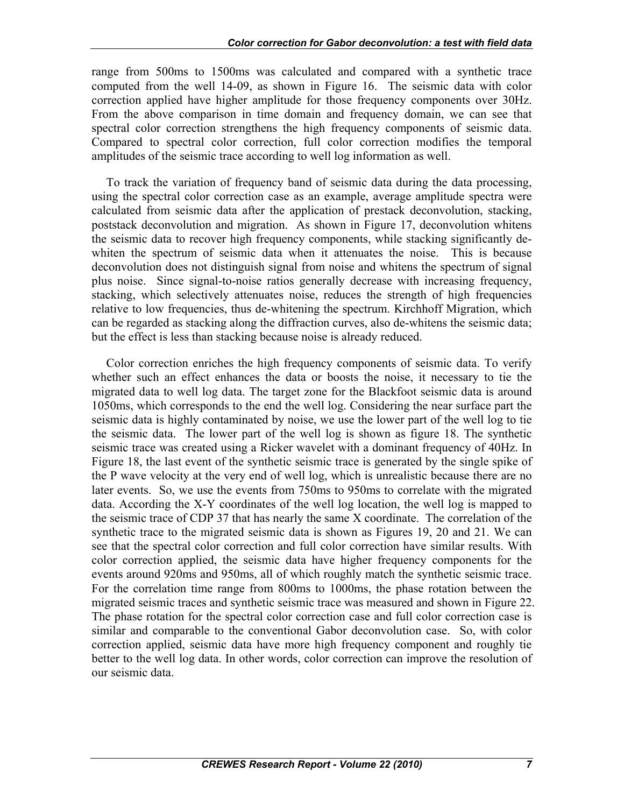range from 500ms to 1500ms was calculated and compared with a synthetic trace computed from the well 14-09, as shown in Figure 16. The seismic data with color correction applied have higher amplitude for those frequency components over 30Hz. From the above comparison in time domain and frequency domain, we can see that spectral color correction strengthens the high frequency components of seismic data. Compared to spectral color correction, full color correction modifies the temporal amplitudes of the seismic trace according to well log information as well.

To track the variation of frequency band of seismic data during the data processing, using the spectral color correction case as an example, average amplitude spectra were calculated from seismic data after the application of prestack deconvolution, stacking, poststack deconvolution and migration. As shown in Figure 17, deconvolution whitens the seismic data to recover high frequency components, while stacking significantly dewhiten the spectrum of seismic data when it attenuates the noise. This is because deconvolution does not distinguish signal from noise and whitens the spectrum of signal plus noise. Since signal-to-noise ratios generally decrease with increasing frequency, stacking, which selectively attenuates noise, reduces the strength of high frequencies relative to low frequencies, thus de-whitening the spectrum. Kirchhoff Migration, which can be regarded as stacking along the diffraction curves, also de-whitens the seismic data; but the effect is less than stacking because noise is already reduced.

Color correction enriches the high frequency components of seismic data. To verify whether such an effect enhances the data or boosts the noise, it necessary to tie the migrated data to well log data. The target zone for the Blackfoot seismic data is around 1050ms, which corresponds to the end the well log. Considering the near surface part the seismic data is highly contaminated by noise, we use the lower part of the well log to tie the seismic data. The lower part of the well log is shown as figure 18. The synthetic seismic trace was created using a Ricker wavelet with a dominant frequency of 40Hz. In Figure 18, the last event of the synthetic seismic trace is generated by the single spike of the P wave velocity at the very end of well log, which is unrealistic because there are no later events. So, we use the events from 750ms to 950ms to correlate with the migrated data. According the X-Y coordinates of the well log location, the well log is mapped to the seismic trace of CDP 37 that has nearly the same X coordinate. The correlation of the synthetic trace to the migrated seismic data is shown as Figures 19, 20 and 21. We can see that the spectral color correction and full color correction have similar results. With color correction applied, the seismic data have higher frequency components for the events around 920ms and 950ms, all of which roughly match the synthetic seismic trace. For the correlation time range from 800ms to 1000ms, the phase rotation between the migrated seismic traces and synthetic seismic trace was measured and shown in Figure 22. The phase rotation for the spectral color correction case and full color correction case is similar and comparable to the conventional Gabor deconvolution case. So, with color correction applied, seismic data have more high frequency component and roughly tie better to the well log data. In other words, color correction can improve the resolution of our seismic data.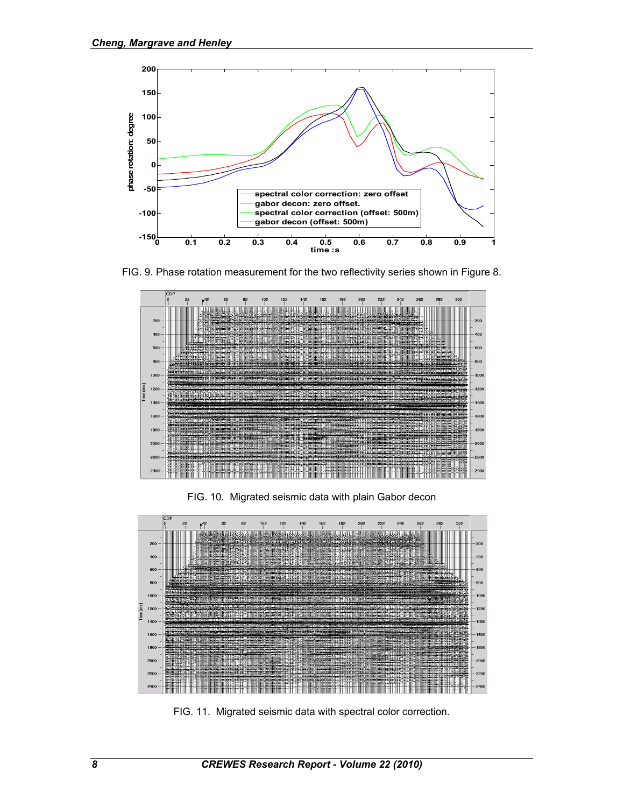

FIG. 9. Phase rotation measurement for the two reflectivity series shown in Figure 8.



FIG. 10. Migrated seismic data with plain Gabor decon



FIG. 11. Migrated seismic data with spectral color correction.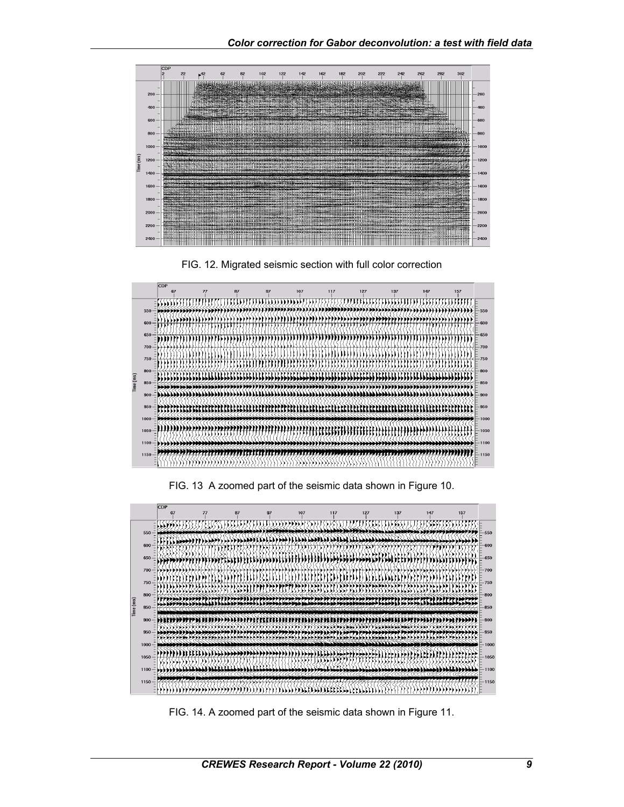





FIG. 13 A zoomed part of the seismic data shown in Figure 10.



FIG. 14. A zoomed part of the seismic data shown in Figure 11.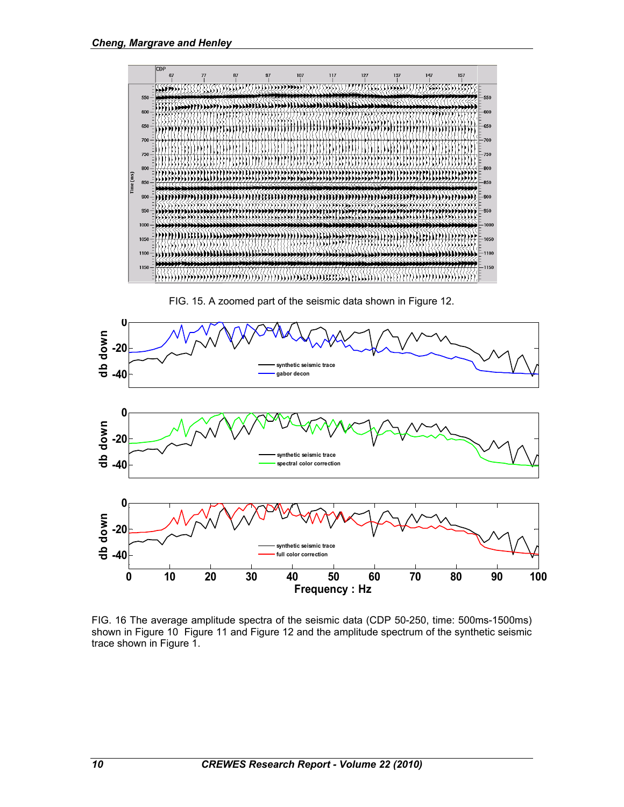

FIG. 15. A zoomed part of the seismic data shown in Figure 12.



FIG. 16 The average amplitude spectra of the seismic data (CDP 50-250, time: 500ms-1500ms) shown in Figure 10 Figure 11 and Figure 12 and the amplitude spectrum of the synthetic seismic trace shown in Figure 1.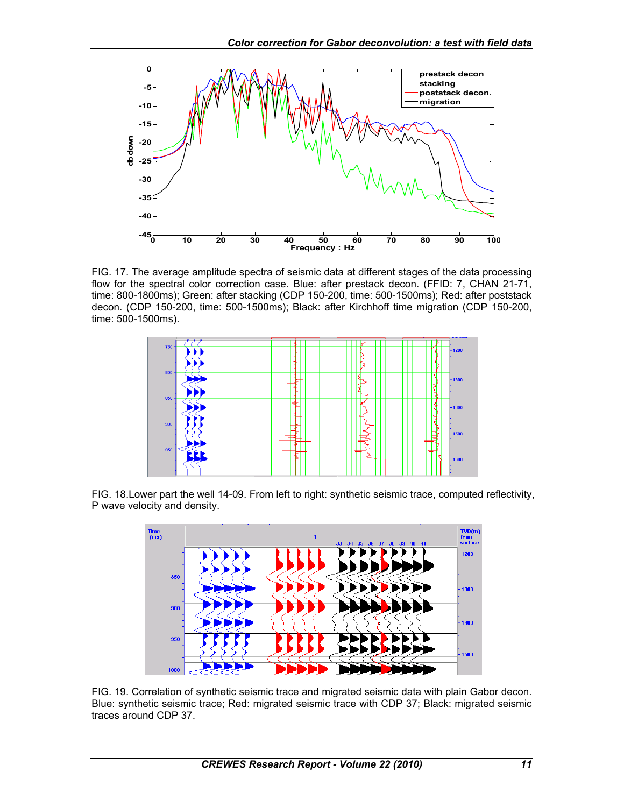

FIG. 17. The average amplitude spectra of seismic data at different stages of the data processing flow for the spectral color correction case. Blue: after prestack decon. (FFID: 7, CHAN 21-71, time: 800-1800ms); Green: after stacking (CDP 150-200, time: 500-1500ms); Red: after poststack decon. (CDP 150-200, time: 500-1500ms); Black: after Kirchhoff time migration (CDP 150-200, time: 500-1500ms).



FIG. 18.Lower part the well 14-09. From left to right: synthetic seismic trace, computed reflectivity, P wave velocity and density.



FIG. 19. Correlation of synthetic seismic trace and migrated seismic data with plain Gabor decon. Blue: synthetic seismic trace; Red: migrated seismic trace with CDP 37; Black: migrated seismic traces around CDP 37.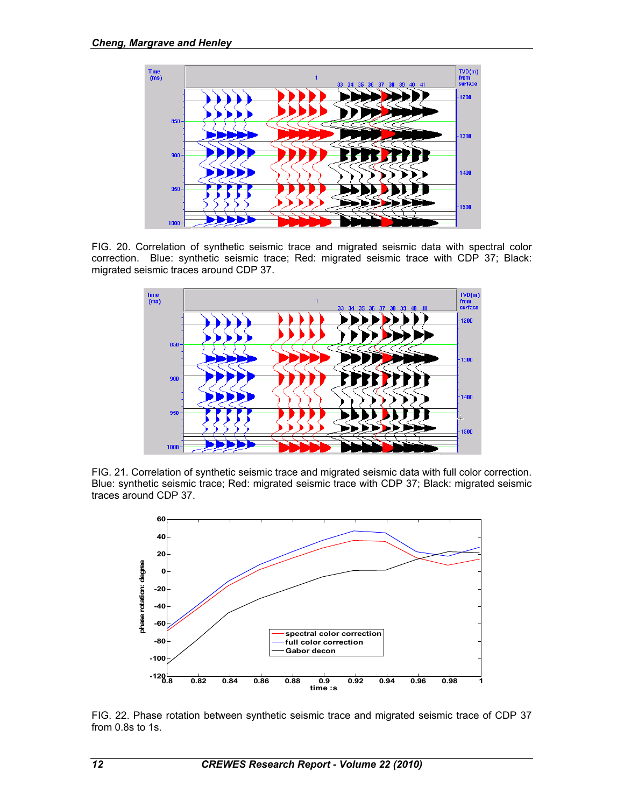

FIG. 20. Correlation of synthetic seismic trace and migrated seismic data with spectral color correction. Blue: synthetic seismic trace; Red: migrated seismic trace with CDP 37; Black: migrated seismic traces around CDP 37.



FIG. 21. Correlation of synthetic seismic trace and migrated seismic data with full color correction. Blue: synthetic seismic trace; Red: migrated seismic trace with CDP 37; Black: migrated seismic traces around CDP 37.



FIG. 22. Phase rotation between synthetic seismic trace and migrated seismic trace of CDP 37 from 0.8s to 1s.